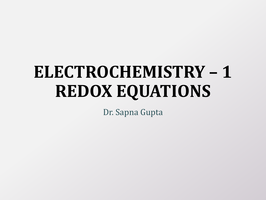# **ELECTROCHEMISTRY – 1 REDOX EQUATIONS**

Dr. Sapna Gupta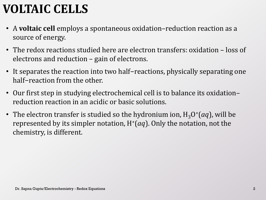## **VOLTAIC CELLS**

- A **voltaic cell** employs a spontaneous oxidation–reduction reaction as a source of energy.
- The redox reactions studied here are electron transfers: oxidation loss of electrons and reduction – gain of electrons.
- It separates the reaction into two half−reactions, physically separating one half−reaction from the other.
- Our first step in studying electrochemical cell is to balance its oxidation– reduction reaction in an acidic or basic solutions.
- The electron transfer is studied so the hydronium ion,  $H_3O^+(aq)$ , will be represented by its simpler notation,  $H^+(aq)$ . Only the notation, not the chemistry, is different.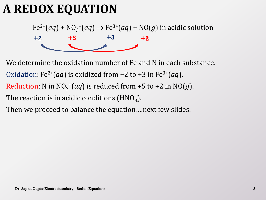### **A REDOX EQUATION**

 $Fe^{2+}(aq) + NO_3^{-}(aq) \rightarrow Fe^{3+}(aq) + NO(g)$  in acidic solution



We determine the oxidation number of Fe and N in each substance. Oxidation: Fe<sup>2+</sup>(*aq*) is oxidized from +2 to +3 in Fe<sup>3+</sup>(*aq*). Reduction: N in  $NO<sub>3</sub><sup>-</sup>(aq)$  is reduced from +5 to +2 in  $NO(g)$ . The reaction is in acidic conditions (HNO $_{\rm 3}$ ).

Then we proceed to balance the equation….next few slides.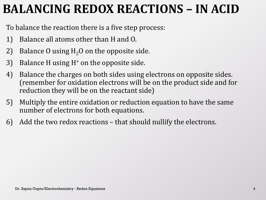### **BALANCING REDOX REACTIONS – IN ACID**

To balance the reaction there is a five step process:

- 1) Balance all atoms other than H and O.
- 2) Balance O using  $H<sub>2</sub>O$  on the opposite side.
- 3) Balance H using H<sup>+</sup> on the opposite side.
- 4) Balance the charges on both sides using electrons on opposite sides. (remember for oxidation electrons will be on the product side and for reduction they will be on the reactant side)
- 5) Multiply the entire oxidation or reduction equation to have the same number of electrons for both equations.
- 6) Add the two redox reactions that should nullify the electrons.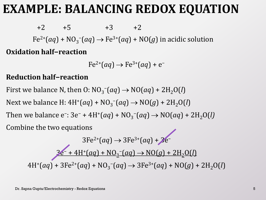#### **EXAMPLE: BALANCING REDOX EQUATION**

 $+2$   $+5$   $+3$   $+2$  $Fe^{2+}(aq) + NO_3^{-}(aq) \rightarrow Fe^{3+}(aq) + NO(g)$  in acidic solution **Oxidation half−reaction**

 $Fe^{2+}(aq) \rightarrow Fe^{3+}(aq) + e^{-}$ 

#### **Reduction half−reaction**

First we balance N, then O:  $NO_3^-$  (aq)  $\rightarrow NO(aq) + 2H_2O(l)$ Next we balance H:  $4H^{+}(aq) + NO_{3}(aq) \rightarrow NO(g) + 2H_{2}O(l)$ Then we balance e<sup>-</sup>: 3e<sup>-</sup> + 4H<sup>+</sup>(*aq*) + NO<sub>3</sub><sup>-</sup>(*aq*) → NO(*aq*) + 2H<sub>2</sub>O(*l*) Combine the two equations

$$
3Fe^{2+}(aq) \rightarrow 3Fe^{3+}(aq) + 2e^{-}
$$
  

$$
3Fe^{2+}(aq) + NO_3^{-}(aq) \rightarrow NO(g) + 2H_2O(l)
$$
  

$$
4H^{+}(aq) + 3Fe^{2+}(aq) + NO_3^{-}(aq) \rightarrow 3Fe^{3+}(aq) + NO(g) + 2H_2O(l)
$$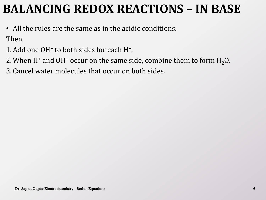### **BALANCING REDOX REACTIONS – IN BASE**

• All the rules are the same as in the acidic conditions.

Then

- 1.Add one OH<sup>−</sup> to both sides for each H<sup>+</sup> .
- 2. When H<sup>+</sup> and OH<sup>−</sup> occur on the same side, combine them to form H<sub>2</sub>O.

3. Cancel water molecules that occur on both sides.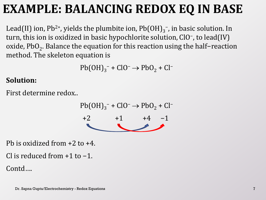### **EXAMPLE: BALANCING REDOX EQ IN BASE**

Lead(II) ion, Pb<sup>2+</sup>, yields the plumbite ion, Pb(OH)<sub>3</sub><sup>-</sup>, in basic solution. In turn, this ion is oxidized in basic hypochlorite solution, ClO<sup>−</sup> , to lead(IV) oxide, PbO<sub>2</sub>. Balance the equation for this reaction using the half−reaction method. The skeleton equation is

 $Pb(OH)<sub>3</sub><sup>-</sup> + ClO<sup>-</sup> \rightarrow PbO<sub>2</sub> + Cl<sup>-</sup>$ 

#### **Solution:**

First determine redox..

 $Pb(OH)<sub>3</sub><sup>-</sup> + ClO<sup>-</sup> \rightarrow PbO<sub>2</sub> + Cl<sup>-</sup>$  $+2$   $+1$   $+4$   $-1$ 

Pb is oxidized from +2 to +4.

Cl is reduced from +1 to −1.

Contd….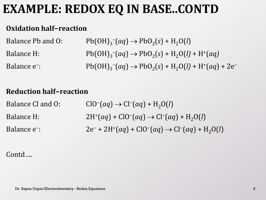#### **EXAMPLE: REDOX EQ IN BASE..CONTD**

#### **Oxidation half−reaction**

| Balance Pb and O:        | $Pb(OH)_{3}^{-}(aq) \rightarrow PbO_{2}(s) + H_{2}O(l)$              |
|--------------------------|----------------------------------------------------------------------|
| Balance H:               | $Pb(OH)_{3}^-(aq) \rightarrow PbO_2(s) + H_2O(l) + H^+(aq)$          |
| Balance e <sup>-</sup> : | $Pb(OH)_{3}^-(aq) \rightarrow PbO_2(s) + H_2O(l) + H^+(aq) + 2e^{-}$ |

#### **Reduction half−reaction**

| Balance Cl and O:        | $ClO^{-}(aq) \rightarrow Cl^{-}(aq) + H_{2}O(l)$              |
|--------------------------|---------------------------------------------------------------|
| Balance H:               | $2H^{+}(aq) + ClO^{-}(aq) \rightarrow Cl^{-}(aq) + H_{2}O(l)$ |
| Balance e <sup>-</sup> : | $2e^- + 2H^+(aq) + ClO^-(aq) \rightarrow Cl^-(aq) + H_2O(l)$  |

Contd….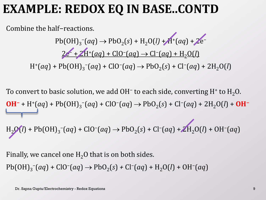#### **EXAMPLE: REDOX EQ IN BASE..CONTD**

Combine the half−reactions.

 $Pb(OH)_{3}^{-}(aq) \rightarrow PbO_{2}(s) + H_{2}O(l) + A^{+}(aq) + 2e^{-}$ 2e<sup>−</sup> + 2H<sup>+</sup> (*aq*) + ClO<sup>−</sup> (*aq*) Cl<sup>−</sup> (*aq*) + H2O(*l*)

 $H^{+}(aq)$  + Pb(OH)<sub>3</sub><sup>−</sup>(aq) + ClO<sup>−</sup>(aq) → PbO<sub>2</sub>(s) + Cl<sup>−</sup>(aq) + 2H<sub>2</sub>O(l)

To convert to basic solution, we add OH<sup>-</sup> to each side, converting H<sup>+</sup> to H<sub>2</sub>O. **OH**<sup>−</sup> + H<sup>+</sup>(*aq*) + Pb(OH)<sub>3</sub><sup>−</sup>(*aq*) + ClO<sup>−</sup>(*aq*) → PbO<sub>2</sub>(*s*) + Cl<sup>−</sup>(*aq*) + 2H<sub>2</sub>O(*l*) + **OH**<sup>−</sup>  $H_2O(l)$  + Pb(OH)<sub>3</sub><sup>−</sup>(aq) + ClO<sup>−</sup>(aq) → PbO<sub>2</sub>(s) + Cl<sup>−</sup>(aq) + ZH<sub>2</sub>O(l) + OH<sup>−</sup>(aq)

Finally, we cancel one  $H_2O$  that is on both sides.

 $Pb(OH)_{3}^{-}(aq) + ClO^{-}(aq) \rightarrow PbO_{2}(s) + Cl^{-}(aq) + H_{2}O(l) + OH^{-}(aq)$